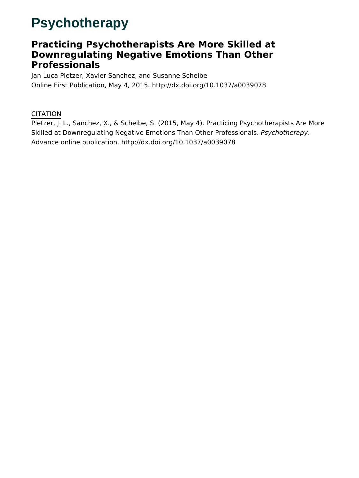# **Psychotherapy**

# **Practicing Psychotherapists Are More Skilled at Downregulating Negative Emotions Than Other Professionals**

Jan Luca Pletzer, Xavier Sanchez, and Susanne Scheibe Online First Publication, May 4, 2015. http://dx.doi.org/10.1037/a0039078

### **CITATION**

Pletzer, J. L., Sanchez, X., & Scheibe, S. (2015, May 4). Practicing Psychotherapists Are More Skilled at Downregulating Negative Emotions Than Other Professionals. Psychotherapy. Advance online publication. http://dx.doi.org/10.1037/a0039078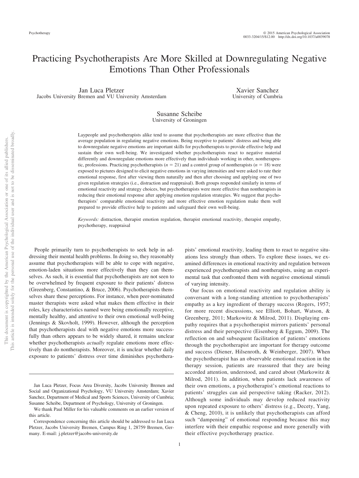## Practicing Psychotherapists Are More Skilled at Downregulating Negative Emotions Than Other Professionals

Jan Luca Pletzer Jacobs University Bremen and VU University Amsterdam

Xavier Sanchez University of Cumbria

#### Susanne Scheibe University of Groningen

Laypeople and psychotherapists alike tend to assume that psychotherapists are more effective than the average population in regulating negative emotions. Being receptive to patients' distress and being able to downregulate negative emotions are important skills for psychotherapists to provide effective help and sustain their own well-being. We investigated whether psychotherapists react to negative material differently and downregulate emotions more effectively than individuals working in other, nontherapeutic, professions. Practicing psychotherapists  $(n = 21)$  and a control group of nontherapists  $(n = 18)$  were exposed to pictures designed to elicit negative emotions in varying intensities and were asked to rate their emotional response, first after viewing them naturally and then after choosing and applying one of two given regulation strategies (i.e., distraction and reappraisal). Both groups responded similarly in terms of emotional reactivity and strategy choices, but psychotherapists were more effective than nontherapists in reducing their emotional response after applying emotion regulation strategies. We suggest that psychotherapists' comparable emotional reactivity and more effective emotion regulation make them well prepared to provide effective help to patients and safeguard their own well-being.

*Keywords:* distraction, therapist emotion regulation, therapist emotional reactivity, therapist empathy, psychotherapy, reappraisal

People primarily turn to psychotherapists to seek help in addressing their mental health problems. In doing so, they reasonably assume that psychotherapists will be able to cope with negative, emotion-laden situations more effectively than they can themselves. As such, it is essential that psychotherapists are not seen to be overwhelmed by frequent exposure to their patients' distress (Greenberg, Constantino, & Bruce, 2006). Psychotherapists themselves share these perceptions. For instance, when peer-nominated master therapists were asked what makes them effective in their roles, key characteristics named were being emotionally receptive, mentally healthy, and attentive to their own emotional well-being (Jennings & Skovholt, 1999). However, although the perception that psychotherapists deal with negative emotions more successfully than others appears to be widely shared, it remains unclear whether psychotherapists *actually* regulate emotions more effectively than do nontherapists. Moreover, it is unclear whether daily exposure to patients' distress over time diminishes psychotherapists' emotional reactivity, leading them to react to negative situations less strongly than others. To explore these issues, we examined differences in emotional reactivity and regulation between experienced psychotherapists and nontherapists, using an experimental task that confronted them with negative emotional stimuli of varying intensity.

Our focus on emotional reactivity and regulation ability is conversant with a long-standing attention to psychotherapists' empathy as a key ingredient of therapy success (Rogers, 1957; for more recent discussions, see Elliott, Bohart, Watson, & Greenberg, 2011; Markowitz & Milrod, 2011). Displaying empathy requires that a psychotherapist mirrors patients' personal distress and their perspective (Eisenberg & Eggum, 2009). The reflection on and subsequent facilitation of patients' emotions through the psychotherapist are important for therapy outcome and success (Diener, Hilsenroth, & Weinberger, 2007). When the psychotherapist has an observable emotional reaction in the therapy session, patients are reassured that they are being accorded attention, understood, and cared about (Markowitz & Milrod, 2011). In addition, when patients lack awareness of their own emotions, a psychotherapist's emotional reactions to patients' struggles can aid perspective taking (Racker, 2012). Although some individuals may develop reduced reactivity upon repeated exposure to others' distress (e.g., Decety, Yang, & Cheng, 2010), it is unlikely that psychotherapists can afford such "dampening" of emotional responding because this may interfere with their empathic response and more generally with their effective psychotherapy practice.

Jan Luca Pletzer, Focus Area Diversity, Jacobs University Bremen and Social and Organizational Psychology, VU University Amsterdam; Xavier Sanchez, Department of Medical and Sports Sciences, University of Cumbria; Susanne Scheibe, Department of Psychology, University of Groningen.

We thank Paul Miller for his valuable comments on an earlier version of this article.

Correspondence concerning this article should be addressed to Jan Luca Pletzer, Jacobs University Bremen, Campus Ring 1, 28759 Bremen, Germany. E-mail: j.pletzer@jacobs-university.de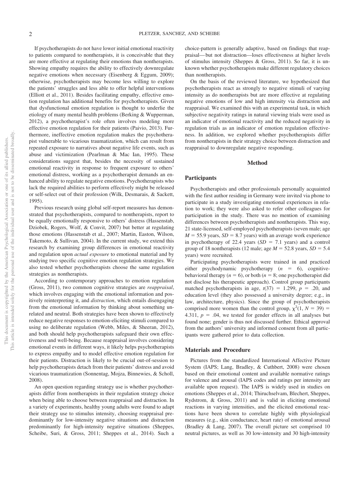If psychotherapists do not have lower initial emotional reactivity to patients compared to nontherapists, it is conceivable that they are more effective at regulating their emotions than nontherapists. Showing empathy requires the ability to effectively downregulate negative emotions when necessary (Eisenberg & Eggum, 2009); otherwise, psychotherapists may become less willing to explore the patients' struggles and less able to offer helpful interventions (Elliott et al., 2011). Besides facilitating empathy, effective emotion regulation has additional benefits for psychotherapists. Given that dysfunctional emotion regulation is thought to underlie the etiology of many mental health problems (Berking & Wupperman, 2012), a psychotherapist's role often involves modeling more effective emotion regulation for their patients (Paivio, 2013). Furthermore, ineffective emotion regulation makes the psychotherapist vulnerable to vicarious traumatization, which can result from repeated exposure to narratives about negative life events, such as abuse and victimization (Pearlman & Mac Ian, 1995). These considerations suggest that, besides the necessity of sustained emotional reactivity in response to frequent exposure to others' emotional distress, working as a psychotherapist demands an enhanced ability to regulate negative emotions. Psychotherapists who lack the required abilities to perform effectively might be released or self-select out of their profession (Wilk, Desmarais, & Sackett, 1995).

Previous research using global self-report measures has demonstrated that psychotherapists, compared to nontherapists, report to be equally emotionally responsive to others' distress (Hassenstab, Dziobek, Rogers, Wolf, & Convit, 2007) but better at regulating those emotions (Hassenstab et al., 2007; Martin, Easton, Wilson, Takemoto, & Sullivan, 2004). In the current study, we extend this research by examining group differences in emotional reactivity and regulation upon *actual exposure* to emotional material and by studying two specific cognitive emotion regulation strategies. We also tested whether psychotherapists choose the same regulation strategies as nontherapists.

According to contemporary approaches to emotion regulation (Gross, 2011), two common cognitive strategies are *reappraisal*, which involves engaging with the emotional information and positively reinterpreting it, and *distraction*, which entails disengaging from the emotional information by thinking about something unrelated and neutral. Both strategies have been shown to effectively reduce negative responses to emotion-eliciting stimuli compared to using no deliberate regulation (Webb, Miles, & Sheeran, 2012), and both should help psychotherapists safeguard their own effectiveness and well-being. Because reappraisal involves considering emotional events in different ways, it likely helps psychotherapists to express empathy and to model effective emotion regulation for their patients. Distraction is likely to be crucial out-of-session to help psychotherapists detach from their patients' distress and avoid vicarious traumatization (Sonnentag, Mojza, Binnewies, & Scholl, 2008).

An open question regarding strategy use is whether psychotherapists differ from nontherapists in their regulation strategy choice when being able to choose between reappraisal and distraction. In a variety of experiments, healthy young adults were found to adapt their strategy use to stimulus intensity, choosing reappraisal predominantly for low-intensity negative situations and distraction predominantly for high-intensity negative situations (Sheppes, Scheibe, Suri, & Gross, 2011; Sheppes et al., 2014). Such a

choice-pattern is generally adaptive, based on findings that reappraisal— but not distraction—loses effectiveness at higher levels of stimulus intensity (Sheppes & Gross, 2011). So far, it is unknown whether psychotherapists make different regulatory choices than nontherapists.

On the basis of the reviewed literature, we hypothesized that psychotherapists react as strongly to negative stimuli of varying intensity as do nontherapists but are more effective at regulating negative emotions of low and high intensity via distraction and reappraisal. We examined this with an experimental task, in which subjective negativity ratings in natural viewing trials were used as an indicator of emotional reactivity and the reduced negativity in regulation trials as an indicator of emotion regulation effectiveness. In addition, we explored whether psychotherapists differ from nontherapists in their strategy choice between distraction and reappraisal to downregulate negative responding.

#### **Method**

#### **Participants**

Psychotherapists and other professionals personally acquainted with the first author residing in Germany were invited via phone to participate in a study investigating emotional experiences in relation to work; they were also asked to refer other colleagues for participation in the study. There was no mention of examining differences between psychotherapists and nontherapists. This way, 21 state-licensed, self-employed psychotherapists (seven male; age  $M = 55.9$  years,  $SD = 8.7$  years) with an average work experience in psychotherapy of 22.4 years  $(SD = 7.1$  years) and a control group of 18 nontherapists (12 male; age  $M = 52.8$  years,  $SD = 5.4$ years) were recruited.

Participating psychotherapists were trained in and practiced either psychodynamic psychotherapy  $(n = 6)$ , cognitivebehavioral therapy ( $n = 6$ ), or both ( $n = 8$ ; one psychotherapist did not disclose his therapeutic approach). Control group participants matched psychotherapists in age,  $t(37) = 1.299$ ,  $p = .20$ , and education level (they also possessed a university degree; e.g., in law, architecture, physics). Since the group of psychotherapists comprised more women than the control group,  $\chi^2(1, N = 39)$  = 4.311,  $p = 0.04$ , we tested for gender effects in all analyses but found none; gender is thus not discussed further. Ethical approval from the authors' university and informed consent from all participants were gathered prior to data collection.

#### **Materials and Procedure**

Pictures from the standardized International Affective Picture System (IAPS; Lang, Bradley, & Cuthbert, 2008) were chosen based on their emotional content and available normative ratings for valence and arousal (IAPS codes and ratings per intensity are available upon request). The IAPS is widely used in studies on emotions (Sheppes et al., 2014; Thiruchselvam, Blechert, Sheppes, Rydstrom, & Gross, 2011) and is valid in eliciting emotional reactions in varying intensities, and the elicited emotional reactions have been shown to correlate highly with physiological measures (e.g., skin conductance, heart rate) of emotional arousal (Bradley & Lang, 2007). The overall picture set comprised 10 neutral pictures, as well as 30 low-intensity and 30 high-intensity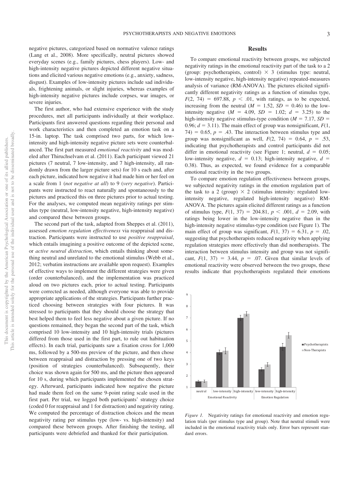negative pictures, categorized based on normative valence ratings (Lang et al., 2008). More specifically, neutral pictures showed everyday scenes (e.g., family pictures, chess players). Low- and high-intensity negative pictures depicted different negative situations and elicited various negative emotions (e.g., anxiety, sadness, disgust). Examples of low-intensity pictures include sad individuals, frightening animals, or slight injuries, whereas examples of high-intensity negative pictures include corpses, war images, or severe injuries.

The first author, who had extensive experience with the study procedures, met all participants individually at their workplace. Participants first answered questions regarding their personal and work characteristics and then completed an emotion task on a 15-in. laptop. The task comprised two parts, for which lowintensity and high-intensity negative picture sets were counterbalanced. The first part measured *emotional reactivity* and was modeled after Thiruchselvam et al. (2011). Each participant viewed 21 pictures (7 neutral, 7 low-intensity, and 7 high-intensity, all randomly drawn from the larger picture sets) for 10 s each and, after each picture, indicated how negative it had made him or her feel on a scale from 1 (*not negative at all*) to 9 (*very negative*). Participants were instructed to react naturally and spontaneously to the pictures and practiced this on three pictures prior to actual testing. For the analyses, we computed mean negativity ratings per stimulus type (neutral, low-intensity negative, high-intensity negative) and compared these between groups.

The second part of the task, adapted from Sheppes et al. (2011), assessed *emotion regulation effectiveness* via reappraisal and distraction. Participants were instructed to use *positive reappraisal*, which entails imagining a positive outcome of the depicted scene, or *active neutral distraction*, which entails thinking about something neutral and unrelated to the emotional stimulus (Webb et al., 2012; verbatim instructions are available upon request). Examples of effective ways to implement the different strategies were given (order counterbalanced), and the implementation was practiced aloud on two pictures each, prior to actual testing. Participants were corrected as needed, although everyone was able to provide appropriate applications of the strategies. Participants further practiced choosing between strategies with four pictures. It was stressed to participants that they should choose the strategy that best helped them to feel less negative about a given picture. If no questions remained, they began the second part of the task, which comprised 10 low-intensity and 10 high-intensity trials (pictures differed from those used in the first part, to rule out habituation effects). In each trial, participants saw a fixation cross for 1,000 ms, followed by a 500-ms preview of the picture, and then chose between reappraisal and distraction by pressing one of two keys (position of strategies counterbalanced). Subsequently, their choice was shown again for 500 ms, and the picture then appeared for 10 s, during which participants implemented the chosen strategy. Afterward, participants indicated how negative the picture had made them feel on the same 9-point rating scale used in the first part. Per trial, we logged both participants' strategy choice (coded 0 for reappraisal and 1 for distraction) and negativity rating. We computed the percentage of distraction choices and the mean negativity rating per stimulus type (low- vs. high-intensity) and compared these between groups. After finishing the testing, all participants were debriefed and thanked for their participation.

#### **Results**

To compare emotional reactivity between groups, we subjected negativity ratings in the emotional reactivity part of the task to a 2 (group: psychotherapists, control)  $\times$  3 (stimulus type: neutral, low-intensity negative, high-intensity negative) repeated-measures analysis of variance (RM-ANOVA). The pictures elicited significantly different negativity ratings as a function of stimulus type,  $F(2, 74) = 697.88, p < .01$ , with ratings, as to be expected, increasing from the neutral  $(M = 1.52, SD = 0.46)$  to the lowintensity negative  $(M = 4.09, SD = 1.02; d = 3.25)$  to the high-intensity negative stimulus-type condition  $(M = 7.17, SD =$ 0.96;  $d = 3.11$ ). The main effect of group was nonsignificant,  $F(1, 1)$  $74) = 0.65$ ,  $p = .43$ . The interaction between stimulus type and group was nonsignificant as well,  $F(2, 74) = 0.64$ ,  $p = .53$ , indicating that psychotherapists and control participants did not differ in emotional reactivity (see Figure 1; neutral,  $d = 0.05$ ; low-intensity negative,  $d = 0.13$ ; high-intensity negative,  $d =$ 0.38). Thus, as expected, we found evidence for a comparable emotional reactivity in the two groups.

To compare emotion regulation effectiveness between groups, we subjected negativity ratings in the emotion regulation part of the task to a 2 (group)  $\times$  2 (stimulus intensity: regulated lowintensity negative, regulated high-intensity negative) RM-ANOVA. The pictures again elicited different ratings as a function of stimulus type,  $F(1, 37) = 204.81$ ,  $p < .001$ ,  $d = 2.09$ , with ratings being lower in the low-intensity negative than in the high-intensity negative stimulus-type condition (see Figure 1). The main effect of group was significant,  $F(1, 37) = 6.31$ ,  $p = .02$ , suggesting that psychotherapists reduced negativity when applying regulation strategies more effectively than did nontherapists. The interaction between stimulus intensity and group was not significant,  $F(1, 37) = 3.44$ ,  $p = .07$ . Given that similar levels of emotional reactivity were observed between the two groups, these results indicate that psychotherapists regulated their emotions



*Figure 1.* Negativity ratings for emotional reactivity and emotion regulation trials (per stimulus type and group). Note that neutral stimuli were included in the emotional reactivity trials only. Error bars represent standard errors.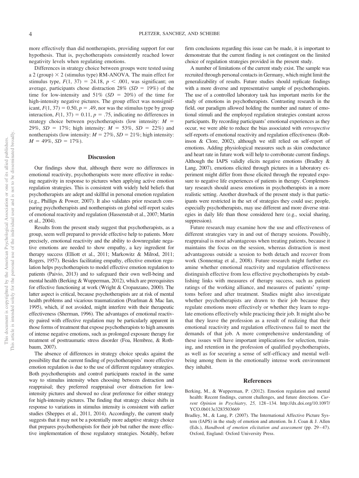more effectively than did nontherapists, providing support for our hypothesis. That is, psychotherapists consistently reached lower negativity levels when regulating emotions.

Differences in strategy choice between groups were tested using a 2 (group)  $\times$  2 (stimulus type) RM-ANOVA. The main effect for stimulus type,  $F(1, 37) = 24.18$ ,  $p < .001$ , was significant; on average, participants chose distraction  $28\%$  ( $SD = 19\%$ ) of the time for low-intensity and  $51\%$  (*SD* = 20%) of the time for high-intensity negative pictures. The group effect was nonsignificant,  $F(1, 37) = 0.50$ ,  $p = .49$ , nor was the stimulus type by group interaction,  $F(1, 37) = 0.11$ ,  $p = .75$ , indicating no differences in strategy choice between psychotherapists (low intensity:  $M =$ 29%,  $SD = 17\%$ ; high intensity:  $M = 53\%$ ,  $SD = 22\%$ ) and nontherapists (low intensity:  $M = 27\%$ ,  $SD = 21\%$ ; high intensity:  $M = 49\%, SD = 17\%$ .

#### **Discussion**

Our findings show that, although there were no differences in emotional reactivity, psychotherapists were more effective in reducing negativity in response to pictures when applying active emotion regulation strategies. This is consistent with widely held beliefs that psychotherapists are adept and skillful in personal emotion regulation (e.g., Phillips & Power, 2007). It also validates prior research comparing psychotherapists and nontherapists on global self-report scales of emotional reactivity and regulation (Hassenstab et al., 2007; Martin et al., 2004).

Results from the present study suggest that psychotherapists, as a group, seem well prepared to provide effective help to patients. More precisely, emotional reactivity and the ability to downregulate negative emotions are needed to show empathy, a key ingredient for therapy success (Elliott et al., 2011; Markowitz & Milrod, 2011; Rogers, 1957). Besides facilitating empathy, effective emotion regulation helps psychotherapists to model effective emotion regulation to patients (Paivio, 2013) and to safeguard their own well-being and mental health (Berking & Wupperman, 2012), which are prerequisites for effective functioning at work (Wright & Cropanzano, 2000). The latter aspect is critical, because psychotherapists are at risk of mental health problems and vicarious traumatization (Pearlman & Mac Ian, 1995), which, if not avoided, might interfere with their therapeutic effectiveness (Sherman, 1996). The advantages of emotional reactivity paired with effective regulation may be particularly apparent in those forms of treatment that expose psychotherapists to high amounts of intense negative emotions, such as prolonged exposure therapy for treatment of posttraumatic stress disorder (Foa, Hembree, & Rothbaum, 2007).

The absence of differences in strategy choice speaks against the possibility that the current finding of psychotherapists' more effective emotion regulation is due to the use of different regulatory strategies. Both psychotherapists and control participants reacted in the same way to stimulus intensity when choosing between distraction and reappraisal; they preferred reappraisal over distraction for lowintensity pictures and showed no clear preference for either strategy for high-intensity pictures. The finding that strategy choice shifts in response to variations in stimulus intensity is consistent with earlier studies (Sheppes et al., 2011, 2014). Accordingly, the current study suggests that it may not be a potentially more adaptive strategy choice that prepares psychotherapists for their job but rather the more effective implementation of those regulatory strategies. Notably, before

firm conclusions regarding this issue can be made, it is important to demonstrate that the current finding is not contingent on the limited choice of regulation strategies provided in the present study.

A number of limitations of the current study exist. The sample was recruited through personal contacts in Germany, which might limit the generalizability of results. Future studies should replicate findings with a more diverse and representative sample of psychotherapists. The use of a controlled laboratory task has important merits for the study of emotions in psychotherapists. Contrasting research in the field, our paradigm allowed holding the number and nature of emotional stimuli and the employed regulation strategies constant across participants. By recording participants' emotional experiences as they occur, we were able to reduce the bias associated with *retrospective* self-reports of emotional reactivity and regulation effectiveness (Robinson & Clore, 2002), although we still relied on self-report of emotions. Adding physiological measures such as skin conductance and heart rate in future work will help to corroborate current findings. Although the IAPS validly elicits negative emotions (Bradley & Lang, 2007), emotions elicited through pictures in a laboratory experiment might differ from those elicited through the repeated exposure to negative life experiences of patients in therapy. Complementary research should assess emotions in psychotherapists in a more realistic setting. Another drawback of the present study is that participants were restricted in the set of strategies they could use; people, especially psychotherapists, may use different and more diverse strategies in daily life than those considered here (e.g., social sharing, suppression).

Future research may examine how the use and effectiveness of different strategies vary in and out of therapy sessions. Possibly, reappraisal is most advantageous when treating patients, because it maintains the focus on the session, whereas distraction is most advantageous outside a session to both detach and recover from work (Sonnentag et al., 2008). Future research might further examine whether emotional reactivity and regulation effectiveness distinguish effective from less effective psychotherapists by establishing links with measures of therapy success, such as patient ratings of the working alliance, and measures of patients' symptoms before and after treatment. Studies might also investigate whether psychotherapists are drawn to their job because they regulate emotions more effectively or whether they learn to regulate emotions effectively while practicing their job. It might also be that they leave the profession as a result of realizing that their emotional reactivity and regulation effectiveness fail to meet the demands of that job. A more comprehensive understanding of these issues will have important implications for selection, training, and retention in the profession of qualified psychotherapists, as well as for securing a sense of self-efficacy and mental wellbeing among them in the emotionally intense work environment they inhabit.

#### **References**

- Berking, M., & Wupperman, P. (2012). Emotion regulation and mental health: Recent findings, current challenges, and future directions. *Current Opinion in Psychiatry, 25,* 128 –134. http://dx.doi.org/10.1097/ YCO.0b013e3283503669
- Bradley, M., & Lang, P. (2007). The International Affective Picture System (IAPS) in the study of emotion and attention. In J. Coan & J. Allen (Eds.), *Handbook of emotion elicitation and assessment* (pp. 29-47). Oxford, England: Oxford University Press.